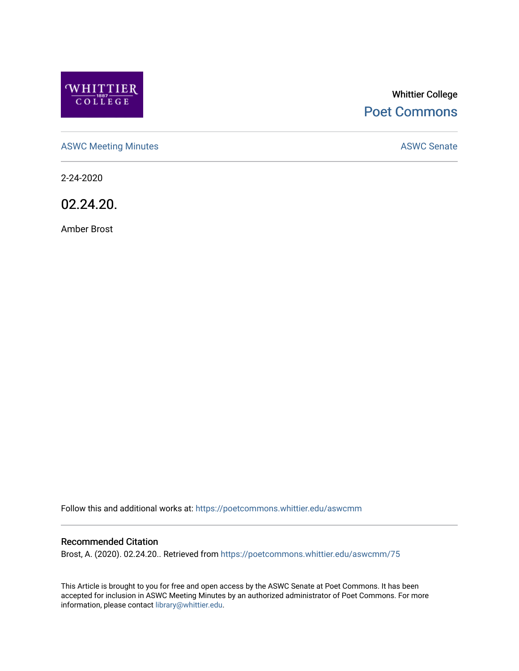

# Whittier College [Poet Commons](https://poetcommons.whittier.edu/)

[ASWC Meeting Minutes](https://poetcommons.whittier.edu/aswcmm) **ASWC Senate** 

2-24-2020

02.24.20.

Amber Brost

Follow this and additional works at: [https://poetcommons.whittier.edu/aswcmm](https://poetcommons.whittier.edu/aswcmm?utm_source=poetcommons.whittier.edu%2Faswcmm%2F75&utm_medium=PDF&utm_campaign=PDFCoverPages)

#### Recommended Citation

Brost, A. (2020). 02.24.20.. Retrieved from [https://poetcommons.whittier.edu/aswcmm/75](https://poetcommons.whittier.edu/aswcmm/75?utm_source=poetcommons.whittier.edu%2Faswcmm%2F75&utm_medium=PDF&utm_campaign=PDFCoverPages)

This Article is brought to you for free and open access by the ASWC Senate at Poet Commons. It has been accepted for inclusion in ASWC Meeting Minutes by an authorized administrator of Poet Commons. For more information, please contact [library@whittier.edu.](mailto:library@whittier.edu)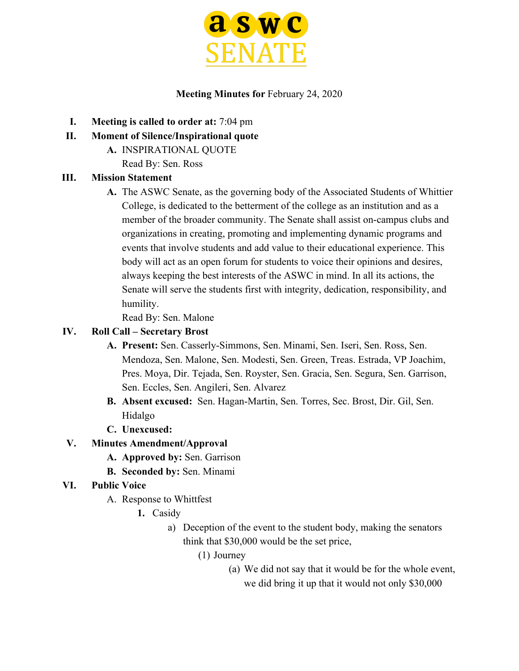

#### **Meeting Minutes for** February 24, 2020

- **I. Meeting is called to order at:** 7:04 pm
- **II. Moment of Silence/Inspirational quote**
	- **A.** INSPIRATIONAL QUOTE Read By: Sen. Ross

### **III. Mission Statement**

**A.** The ASWC Senate, as the governing body of the Associated Students of Whittier College, is dedicated to the betterment of the college as an institution and as a member of the broader community. The Senate shall assist on-campus clubs and organizations in creating, promoting and implementing dynamic programs and events that involve students and add value to their educational experience. This body will act as an open forum for students to voice their opinions and desires, always keeping the best interests of the ASWC in mind. In all its actions, the Senate will serve the students first with integrity, dedication, responsibility, and humility.

Read By: Sen. Malone

## **IV. Roll Call – Secretary Brost**

- **A. Present:** Sen. Casserly-Simmons, Sen. Minami, Sen. Iseri, Sen. Ross, Sen. Mendoza, Sen. Malone, Sen. Modesti, Sen. Green, Treas. Estrada, VP Joachim, Pres. Moya, Dir. Tejada, Sen. Royster, Sen. Gracia, Sen. Segura, Sen. Garrison, Sen. Eccles, Sen. Angileri, Sen. Alvarez
- **B. Absent excused:** Sen. Hagan-Martin, Sen. Torres, Sec. Brost, Dir. Gil, Sen. Hidalgo
- **C. Unexcused:**

# **V. Minutes Amendment/Approval**

- **A. Approved by:** Sen. Garrison
- **B. Seconded by:** Sen. Minami

# **VI. Public Voice**

- A. Response to Whittfest
	- **1.** Casidy
		- a) Deception of the event to the student body, making the senators think that \$30,000 would be the set price,
			- (1) Journey
				- (a) We did not say that it would be for the whole event, we did bring it up that it would not only \$30,000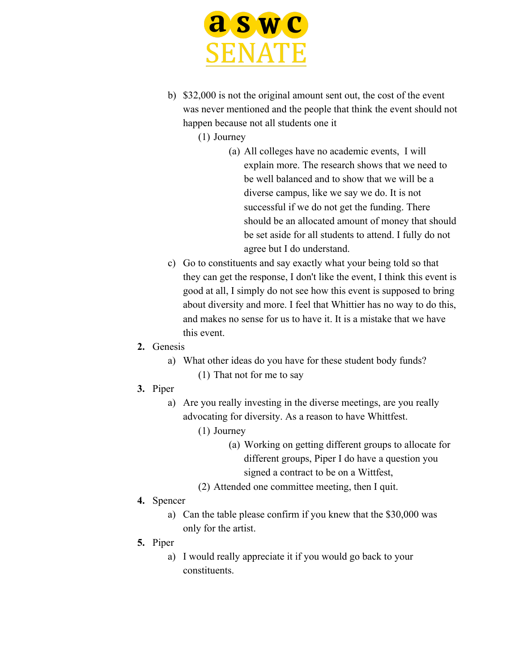

b) \$32,000 is not the original amount sent out, the cost of the event was never mentioned and the people that think the event should not happen because not all students one it

(1) Journey

- (a) All colleges have no academic events, I will explain more. The research shows that we need to be well balanced and to show that we will be a diverse campus, like we say we do. It is not successful if we do not get the funding. There should be an allocated amount of money that should be set aside for all students to attend. I fully do not agree but I do understand.
- c) Go to constituents and say exactly what your being told so that they can get the response, I don't like the event, I think this event is good at all, I simply do not see how this event is supposed to bring about diversity and more. I feel that Whittier has no way to do this, and makes no sense for us to have it. It is a mistake that we have this event.
- **2.** Genesis
	- a) What other ideas do you have for these student body funds? (1) That not for me to say
- **3.** Piper
	- a) Are you really investing in the diverse meetings, are you really advocating for diversity. As a reason to have Whittfest.
		- (1) Journey
			- (a) Working on getting different groups to allocate for different groups, Piper I do have a question you signed a contract to be on a Wittfest,
		- (2) Attended one committee meeting, then I quit.
- **4.** Spencer
	- a) Can the table please confirm if you knew that the \$30,000 was only for the artist.
- **5.** Piper
	- a) I would really appreciate it if you would go back to your constituents.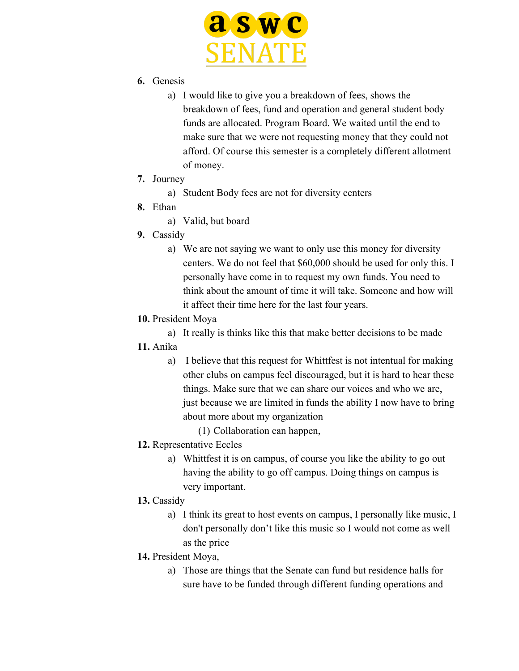

- **6.** Genesis
	- a) I would like to give you a breakdown of fees, shows the breakdown of fees, fund and operation and general student body funds are allocated. Program Board. We waited until the end to make sure that we were not requesting money that they could not afford. Of course this semester is a completely different allotment of money.
- **7.** Journey
	- a) Student Body fees are not for diversity centers
- **8.** Ethan
	- a) Valid, but board
- **9.** Cassidy
	- a) We are not saying we want to only use this money for diversity centers. We do not feel that \$60,000 should be used for only this. I personally have come in to request my own funds. You need to think about the amount of time it will take. Someone and how will it affect their time here for the last four years.
- **10.** President Moya

a) It really is thinks like this that make better decisions to be made

- **11.** Anika
	- a) I believe that this request for Whittfest is not intentual for making other clubs on campus feel discouraged, but it is hard to hear these things. Make sure that we can share our voices and who we are, just because we are limited in funds the ability I now have to bring about more about my organization
		- (1) Collaboration can happen,
- **12.** Representative Eccles
	- a) Whittfest it is on campus, of course you like the ability to go out having the ability to go off campus. Doing things on campus is very important.
- **13.** Cassidy
	- a) I think its great to host events on campus, I personally like music, I don't personally don't like this music so I would not come as well as the price
- **14.** President Moya,
	- a) Those are things that the Senate can fund but residence halls for sure have to be funded through different funding operations and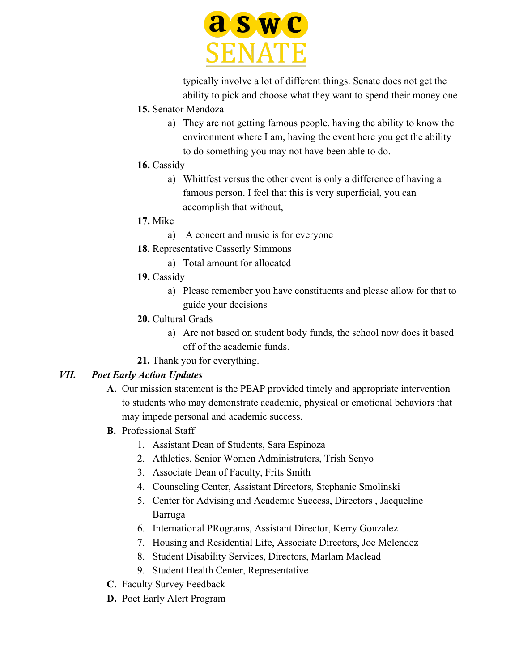

typically involve a lot of different things. Senate does not get the ability to pick and choose what they want to spend their money one

- **15.** Senator Mendoza
	- a) They are not getting famous people, having the ability to know the environment where I am, having the event here you get the ability to do something you may not have been able to do.
- **16.** Cassidy
	- a) Whittfest versus the other event is only a difference of having a famous person. I feel that this is very superficial, you can accomplish that without,
- **17.** Mike
	- a) A concert and music is for everyone
- **18.** Representative Casserly Simmons
	- a) Total amount for allocated
- **19.** Cassidy
	- a) Please remember you have constituents and please allow for that to guide your decisions
- **20.** Cultural Grads
	- a) Are not based on student body funds, the school now does it based off of the academic funds.
- **21.** Thank you for everything.

# *VII. Poet Early Action Updates*

- **A.** Our mission statement is the PEAP provided timely and appropriate intervention to students who may demonstrate academic, physical or emotional behaviors that may impede personal and academic success.
- **B.** Professional Staff
	- 1. Assistant Dean of Students, Sara Espinoza
	- 2. Athletics, Senior Women Administrators, Trish Senyo
	- 3. Associate Dean of Faculty, Frits Smith
	- 4. Counseling Center, Assistant Directors, Stephanie Smolinski
	- 5. Center for Advising and Academic Success, Directors , Jacqueline Barruga
	- 6. International PRograms, Assistant Director, Kerry Gonzalez
	- 7. Housing and Residential Life, Associate Directors, Joe Melendez
	- 8. Student Disability Services, Directors, Marlam Maclead
	- 9. Student Health Center, Representative
- **C.** Faculty Survey Feedback
- **D.** Poet Early Alert Program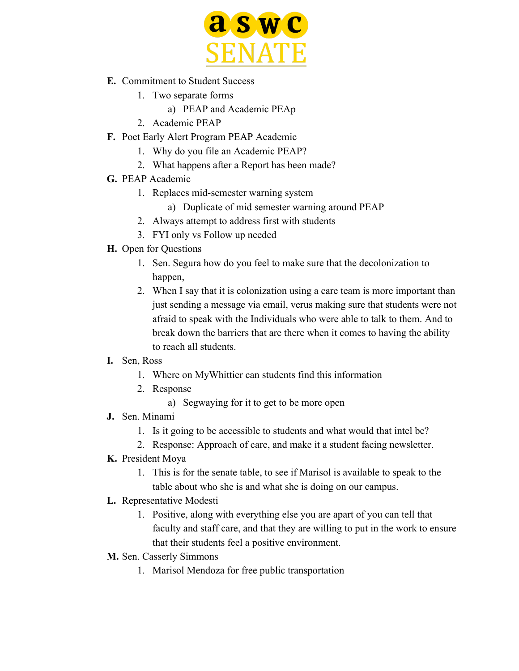

- **E.** Commitment to Student Success
	- 1. Two separate forms
		- a) PEAP and Academic PEAp
	- 2. Academic PEAP
- **F.** Poet Early Alert Program PEAP Academic
	- 1. Why do you file an Academic PEAP?
	- 2. What happens after a Report has been made?
- **G.** PEAP Academic
	- 1. Replaces mid-semester warning system
		- a) Duplicate of mid semester warning around PEAP
	- 2. Always attempt to address first with students
	- 3. FYI only vs Follow up needed
- **H.** Open for Questions
	- 1. Sen. Segura how do you feel to make sure that the decolonization to happen,
	- 2. When I say that it is colonization using a care team is more important than just sending a message via email, verus making sure that students were not afraid to speak with the Individuals who were able to talk to them. And to break down the barriers that are there when it comes to having the ability to reach all students.
- **I.** Sen, Ross
	- 1. Where on MyWhittier can students find this information
	- 2. Response
		- a) Segwaying for it to get to be more open
- **J.** Sen. Minami
	- 1. Is it going to be accessible to students and what would that intel be?
	- 2. Response: Approach of care, and make it a student facing newsletter.
- **K.** President Moya
	- 1. This is for the senate table, to see if Marisol is available to speak to the table about who she is and what she is doing on our campus.
- **L.** Representative Modesti
	- 1. Positive, along with everything else you are apart of you can tell that faculty and staff care, and that they are willing to put in the work to ensure that their students feel a positive environment.
- **M.** Sen. Casserly Simmons
	- 1. Marisol Mendoza for free public transportation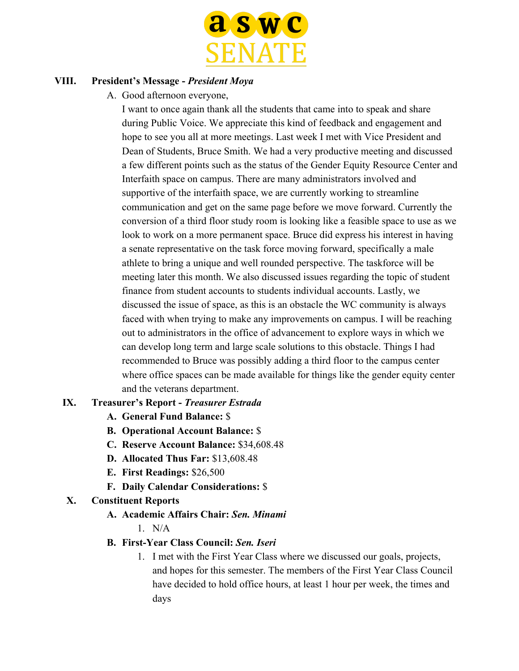

#### **VIII. President's Message -** *President Moya*

A. Good afternoon everyone,

I want to once again thank all the students that came into to speak and share during Public Voice. We appreciate this kind of feedback and engagement and hope to see you all at more meetings. Last week I met with Vice President and Dean of Students, Bruce Smith. We had a very productive meeting and discussed a few different points such as the status of the Gender Equity Resource Center and Interfaith space on campus. There are many administrators involved and supportive of the interfaith space, we are currently working to streamline communication and get on the same page before we move forward. Currently the conversion of a third floor study room is looking like a feasible space to use as we look to work on a more permanent space. Bruce did express his interest in having a senate representative on the task force moving forward, specifically a male athlete to bring a unique and well rounded perspective. The taskforce will be meeting later this month. We also discussed issues regarding the topic of student finance from student accounts to students individual accounts. Lastly, we discussed the issue of space, as this is an obstacle the WC community is always faced with when trying to make any improvements on campus. I will be reaching out to administrators in the office of advancement to explore ways in which we can develop long term and large scale solutions to this obstacle. Things I had recommended to Bruce was possibly adding a third floor to the campus center where office spaces can be made available for things like the gender equity center and the veterans department.

# **IX. Treasurer's Report -** *Treasurer Estrada*

- **A. General Fund Balance:** \$
- **B. Operational Account Balance:** \$
- **C. Reserve Account Balance:** \$34,608.48
- **D. Allocated Thus Far:** \$13,608.48
- **E. First Readings:** \$26,500
- **F. Daily Calendar Considerations:** \$

## **X. Constituent Reports**

# **A. Academic Affairs Chair:** *Sen. Minami*

 $1$  N/A

# **B. First-Year Class Council:** *Sen. Iseri*

1. I met with the First Year Class where we discussed our goals, projects, and hopes for this semester. The members of the First Year Class Council have decided to hold office hours, at least 1 hour per week, the times and days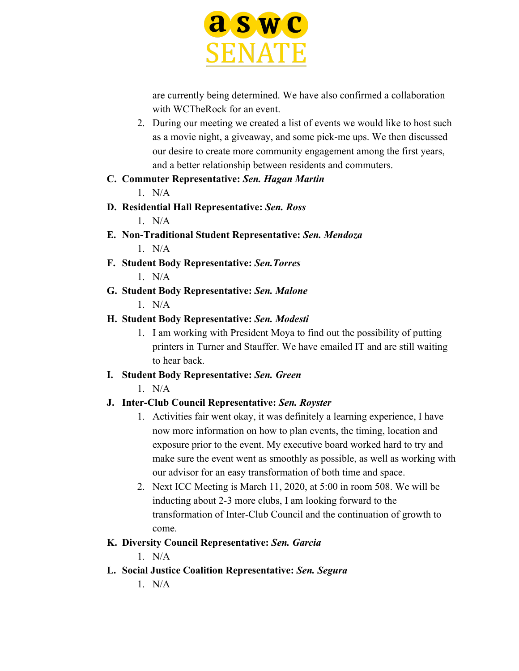

are currently being determined. We have also confirmed a collaboration with WCTheRock for an event.

2. During our meeting we created a list of events we would like to host such as a movie night, a giveaway, and some pick-me ups. We then discussed our desire to create more community engagement among the first years, and a better relationship between residents and commuters.

### **C. Commuter Representative:** *Sen. Hagan Martin*

 $1$  N/A

- **D. Residential Hall Representative:** *Sen. Ross* 1. N/A
- **E. Non-Traditional Student Representative:** *Sen. Mendoza*  $1$  N/A
- **F. Student Body Representative:** *Sen.Torres* 1. N/A
- **G. Student Body Representative:** *Sen. Malone* 1. N/A

# **H. Student Body Representative:** *Sen. Modesti*

1. I am working with President Moya to find out the possibility of putting printers in Turner and Stauffer. We have emailed IT and are still waiting to hear back.

# **I. Student Body Representative:** *Sen. Green*

 $1$  N/A

# **J. Inter-Club Council Representative:** *Sen. Royster*

- 1. Activities fair went okay, it was definitely a learning experience, I have now more information on how to plan events, the timing, location and exposure prior to the event. My executive board worked hard to try and make sure the event went as smoothly as possible, as well as working with our advisor for an easy transformation of both time and space.
- 2. Next ICC Meeting is March 11, 2020, at 5:00 in room 508. We will be inducting about 2-3 more clubs, I am looking forward to the transformation of Inter-Club Council and the continuation of growth to come.

# **K. Diversity Council Representative:** *Sen. Garcia*

- $1$  N/A
- **L. Social Justice Coalition Representative:** *Sen. Segura*
	- $1$  N/A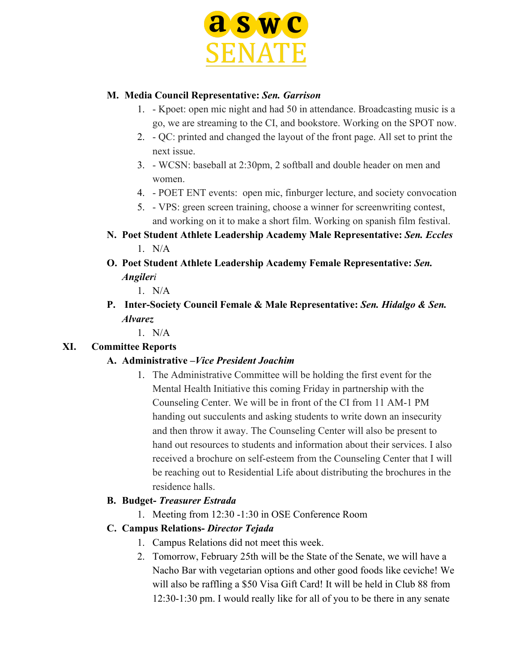

### **M. Media Council Representative:** *Sen. Garrison*

- 1. Kpoet: open mic night and had 50 in attendance. Broadcasting music is a go, we are streaming to the CI, and bookstore. Working on the SPOT now.
- 2. QC: printed and changed the layout of the front page. All set to print the next issue.
- 3. WCSN: baseball at 2:30pm, 2 softball and double header on men and women.
- 4. POET ENT events: open mic, finburger lecture, and society convocation
- 5. VPS: green screen training, choose a winner for screenwriting contest, and working on it to make a short film. Working on spanish film festival.
- **N. Poet Student Athlete Leadership Academy Male Representative:** *Sen. Eccles*  $1$  N/A
- **O. Poet Student Athlete Leadership Academy Female Representative:** *Sen. Angileri*

1. N/A

- **P. Inter-Society Council Female & Male Representative:** *Sen. Hidalgo & Sen. Alvarez*
	- 1. N/A

# **XI. Committee Reports**

# **A. Administrative –***Vice President Joachim*

1. The Administrative Committee will be holding the first event for the Mental Health Initiative this coming Friday in partnership with the Counseling Center. We will be in front of the CI from 11 AM-1 PM handing out succulents and asking students to write down an insecurity and then throw it away. The Counseling Center will also be present to hand out resources to students and information about their services. I also received a brochure on self-esteem from the Counseling Center that I will be reaching out to Residential Life about distributing the brochures in the residence halls.

#### **B. Budget-** *Treasurer Estrada*

1. Meeting from 12:30 -1:30 in OSE Conference Room

# **C. Campus Relations-** *Director Tejada*

- 1. Campus Relations did not meet this week.
- 2. Tomorrow, February 25th will be the State of the Senate, we will have a Nacho Bar with vegetarian options and other good foods like ceviche! We will also be raffling a \$50 Visa Gift Card! It will be held in Club 88 from 12:30-1:30 pm. I would really like for all of you to be there in any senate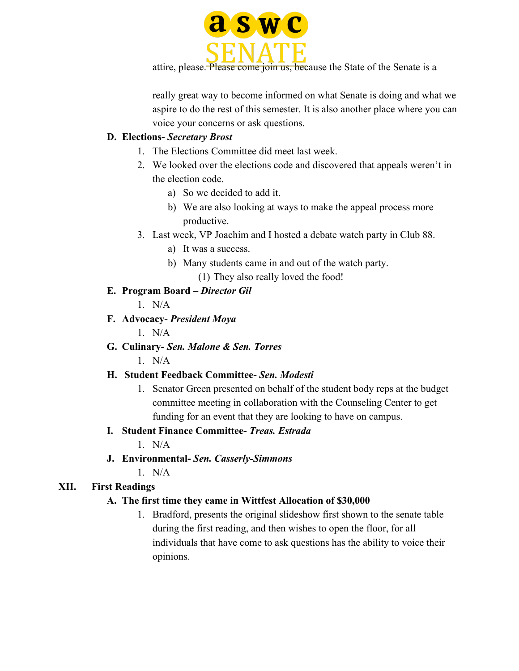

attire, please. Please come join us, because the State of the Senate is a

really great way to become informed on what Senate is doing and what we aspire to do the rest of this semester. It is also another place where you can voice your concerns or ask questions.

### **D. Elections-** *Secretary Brost*

- 1. The Elections Committee did meet last week.
- 2. We looked over the elections code and discovered that appeals weren't in the election code.
	- a) So we decided to add it.
	- b) We are also looking at ways to make the appeal process more productive.
- 3. Last week, VP Joachim and I hosted a debate watch party in Club 88.
	- a) It was a success.
	- b) Many students came in and out of the watch party.
		- (1) They also really loved the food!

### **E. Program Board –** *Director Gil*

- $1$  N/A
- **F. Advocacy-** *President Moya*

1. N/A

**G. Culinary-** *Sen. Malone & Sen. Torres*

 $1$  N/A

# **H. Student Feedback Committee-** *Sen. Modesti*

1. Senator Green presented on behalf of the student body reps at the budget committee meeting in collaboration with the Counseling Center to get funding for an event that they are looking to have on campus.

# **I. Student Finance Committee-** *Treas. Estrada*

 $1$  N/A

**J. Environmental-** *Sen. Casserly-Simmons*

 $1$  N/A

# **XII. First Readings**

# **A. The first time they came in Wittfest Allocation of \$30,000**

1. Bradford, presents the original slideshow first shown to the senate table during the first reading, and then wishes to open the floor, for all individuals that have come to ask questions has the ability to voice their opinions.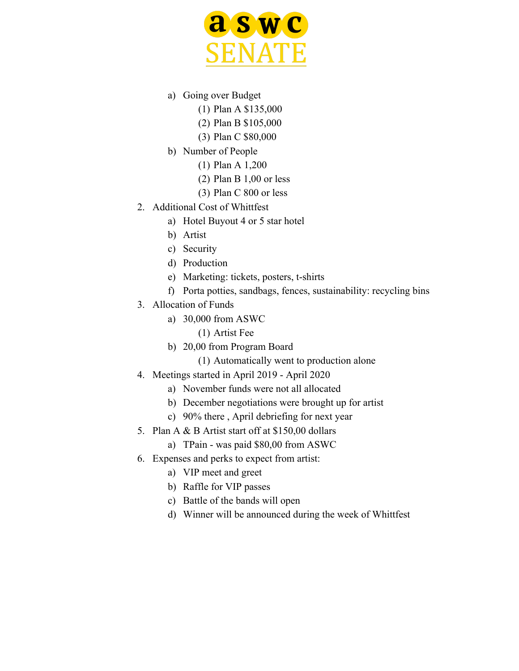

- a) Going over Budget
	- (1) Plan A \$135,000
	- (2) Plan B \$105,000
	- (3) Plan C \$80,000
- b) Number of People
	- (1) Plan A 1,200
	- (2) Plan B 1,00 or less
	- (3) Plan C 800 or less
- 2. Additional Cost of Whittfest
	- a) Hotel Buyout 4 or 5 star hotel
	- b) Artist
	- c) Security
	- d) Production
	- e) Marketing: tickets, posters, t-shirts
	- f) Porta potties, sandbags, fences, sustainability: recycling bins
- 3. Allocation of Funds
	- a) 30,000 from ASWC
		- (1) Artist Fee
		- b) 20,00 from Program Board
			- (1) Automatically went to production alone
- 4. Meetings started in April 2019 April 2020
	- a) November funds were not all allocated
	- b) December negotiations were brought up for artist
	- c) 90% there , April debriefing for next year
- 5. Plan A & B Artist start off at \$150,00 dollars
	- a) TPain was paid \$80,00 from ASWC
- 6. Expenses and perks to expect from artist:
	- a) VIP meet and greet
	- b) Raffle for VIP passes
	- c) Battle of the bands will open
	- d) Winner will be announced during the week of Whittfest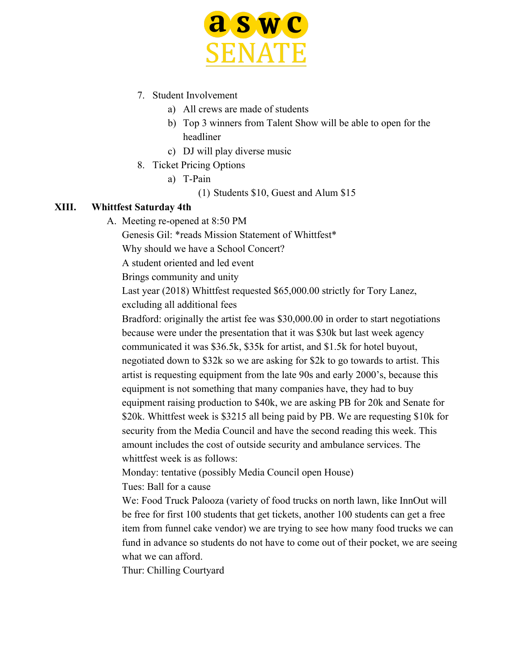

- 7. Student Involvement
	- a) All crews are made of students
	- b) Top 3 winners from Talent Show will be able to open for the headliner
	- c) DJ will play diverse music
- 8. Ticket Pricing Options
	- a) T-Pain
		- (1) Students \$10, Guest and Alum \$15

#### **XIII. Whittfest Saturday 4th**

A. Meeting re-opened at 8:50 PM

Genesis Gil: \*reads Mission Statement of Whittfest\*

Why should we have a School Concert?

A student oriented and led event

Brings community and unity

Last year (2018) Whittfest requested \$65,000.00 strictly for Tory Lanez, excluding all additional fees

Bradford: originally the artist fee was \$30,000.00 in order to start negotiations because were under the presentation that it was \$30k but last week agency communicated it was \$36.5k, \$35k for artist, and \$1.5k for hotel buyout, negotiated down to \$32k so we are asking for \$2k to go towards to artist. This artist is requesting equipment from the late 90s and early 2000's, because this equipment is not something that many companies have, they had to buy equipment raising production to \$40k, we are asking PB for 20k and Senate for \$20k. Whittfest week is \$3215 all being paid by PB. We are requesting \$10k for security from the Media Council and have the second reading this week. This amount includes the cost of outside security and ambulance services. The whittfest week is as follows:

Monday: tentative (possibly Media Council open House)

Tues: Ball for a cause

We: Food Truck Palooza (variety of food trucks on north lawn, like InnOut will be free for first 100 students that get tickets, another 100 students can get a free item from funnel cake vendor) we are trying to see how many food trucks we can fund in advance so students do not have to come out of their pocket, we are seeing what we can afford.

Thur: Chilling Courtyard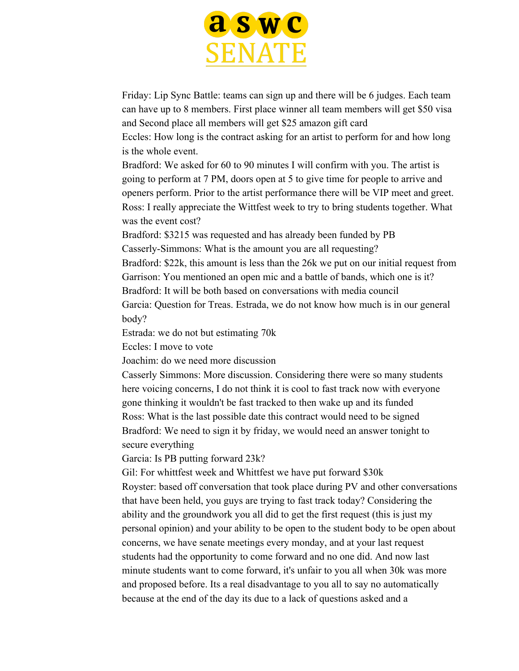

Friday: Lip Sync Battle: teams can sign up and there will be 6 judges. Each team can have up to 8 members. First place winner all team members will get \$50 visa and Second place all members will get \$25 amazon gift card

Eccles: How long is the contract asking for an artist to perform for and how long is the whole event.

Bradford: We asked for 60 to 90 minutes I will confirm with you. The artist is going to perform at 7 PM, doors open at 5 to give time for people to arrive and openers perform. Prior to the artist performance there will be VIP meet and greet. Ross: I really appreciate the Wittfest week to try to bring students together. What was the event cost?

Bradford: \$3215 was requested and has already been funded by PB Casserly-Simmons: What is the amount you are all requesting?

Bradford: \$22k, this amount is less than the 26k we put on our initial request from Garrison: You mentioned an open mic and a battle of bands, which one is it?

Bradford: It will be both based on conversations with media council

Garcia: Question for Treas. Estrada, we do not know how much is in our general body?

Estrada: we do not but estimating 70k

Eccles: I move to vote

Joachim: do we need more discussion

Casserly Simmons: More discussion. Considering there were so many students here voicing concerns, I do not think it is cool to fast track now with everyone gone thinking it wouldn't be fast tracked to then wake up and its funded Ross: What is the last possible date this contract would need to be signed Bradford: We need to sign it by friday, we would need an answer tonight to secure everything

Garcia: Is PB putting forward 23k?

Gil: For whittfest week and Whittfest we have put forward \$30k Royster: based off conversation that took place during PV and other conversations that have been held, you guys are trying to fast track today? Considering the ability and the groundwork you all did to get the first request (this is just my personal opinion) and your ability to be open to the student body to be open about concerns, we have senate meetings every monday, and at your last request students had the opportunity to come forward and no one did. And now last minute students want to come forward, it's unfair to you all when 30k was more and proposed before. Its a real disadvantage to you all to say no automatically because at the end of the day its due to a lack of questions asked and a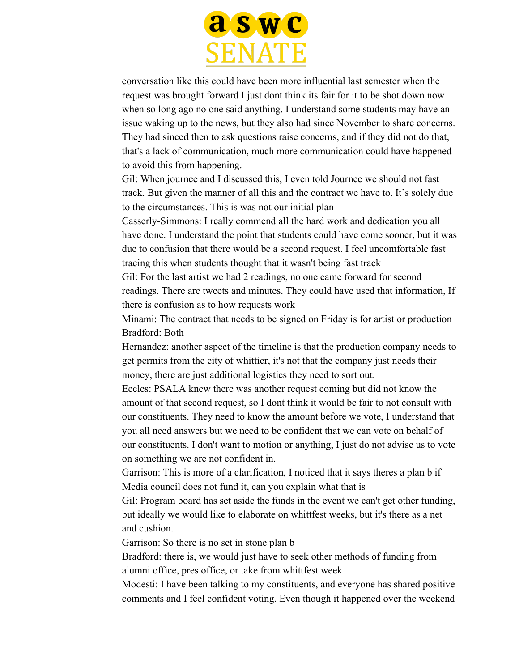

conversation like this could have been more influential last semester when the request was brought forward I just dont think its fair for it to be shot down now when so long ago no one said anything. I understand some students may have an issue waking up to the news, but they also had since November to share concerns. They had sinced then to ask questions raise concerns, and if they did not do that, that's a lack of communication, much more communication could have happened to avoid this from happening.

Gil: When journee and I discussed this, I even told Journee we should not fast track. But given the manner of all this and the contract we have to. It's solely due to the circumstances. This is was not our initial plan

Casserly-Simmons: I really commend all the hard work and dedication you all have done. I understand the point that students could have come sooner, but it was due to confusion that there would be a second request. I feel uncomfortable fast tracing this when students thought that it wasn't being fast track

Gil: For the last artist we had 2 readings, no one came forward for second readings. There are tweets and minutes. They could have used that information, If there is confusion as to how requests work

Minami: The contract that needs to be signed on Friday is for artist or production Bradford: Both

Hernandez: another aspect of the timeline is that the production company needs to get permits from the city of whittier, it's not that the company just needs their money, there are just additional logistics they need to sort out.

Eccles: PSALA knew there was another request coming but did not know the amount of that second request, so I dont think it would be fair to not consult with our constituents. They need to know the amount before we vote, I understand that you all need answers but we need to be confident that we can vote on behalf of our constituents. I don't want to motion or anything, I just do not advise us to vote on something we are not confident in.

Garrison: This is more of a clarification, I noticed that it says theres a plan b if Media council does not fund it, can you explain what that is

Gil: Program board has set aside the funds in the event we can't get other funding, but ideally we would like to elaborate on whittfest weeks, but it's there as a net and cushion.

Garrison: So there is no set in stone plan b

Bradford: there is, we would just have to seek other methods of funding from alumni office, pres office, or take from whittfest week

Modesti: I have been talking to my constituents, and everyone has shared positive comments and I feel confident voting. Even though it happened over the weekend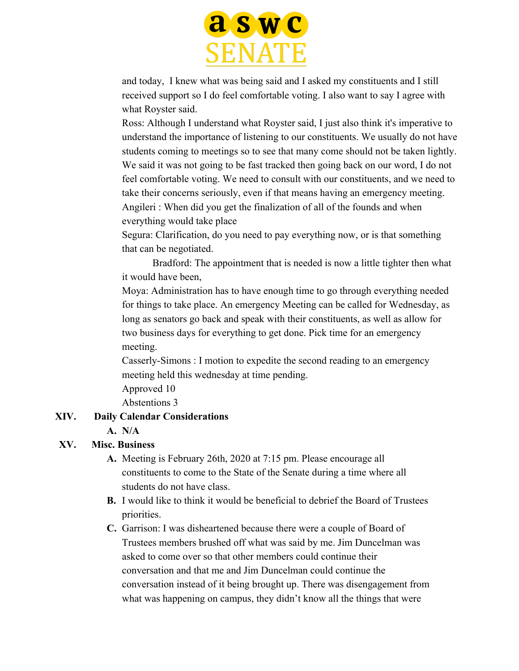

and today, I knew what was being said and I asked my constituents and I still received support so I do feel comfortable voting. I also want to say I agree with what Royster said.

Ross: Although I understand what Royster said, I just also think it's imperative to understand the importance of listening to our constituents. We usually do not have students coming to meetings so to see that many come should not be taken lightly. We said it was not going to be fast tracked then going back on our word, I do not feel comfortable voting. We need to consult with our constituents, and we need to take their concerns seriously, even if that means having an emergency meeting. Angileri : When did you get the finalization of all of the founds and when everything would take place

Segura: Clarification, do you need to pay everything now, or is that something that can be negotiated.

Bradford: The appointment that is needed is now a little tighter then what it would have been,

Moya: Administration has to have enough time to go through everything needed for things to take place. An emergency Meeting can be called for Wednesday, as long as senators go back and speak with their constituents, as well as allow for two business days for everything to get done. Pick time for an emergency meeting.

Casserly-Simons : I motion to expedite the second reading to an emergency meeting held this wednesday at time pending.

Approved 10

Abstentions 3

# **XIV. Daily Calendar Considerations**

**A. N/A**

# **XV. Misc. Business**

- **A.** Meeting is February 26th, 2020 at 7:15 pm. Please encourage all constituents to come to the State of the Senate during a time where all students do not have class.
- **B.** I would like to think it would be beneficial to debrief the Board of Trustees priorities.
- **C.** Garrison: I was disheartened because there were a couple of Board of Trustees members brushed off what was said by me. Jim Duncelman was asked to come over so that other members could continue their conversation and that me and Jim Duncelman could continue the conversation instead of it being brought up. There was disengagement from what was happening on campus, they didn't know all the things that were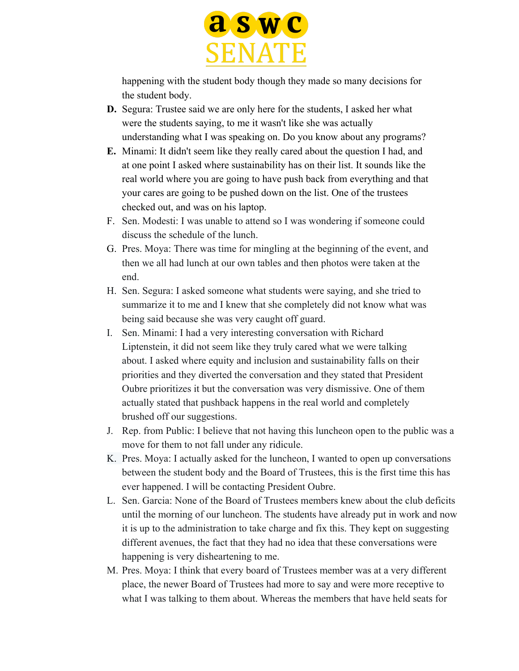

happening with the student body though they made so many decisions for the student body.

- **D.** Segura: Trustee said we are only here for the students, I asked her what were the students saying, to me it wasn't like she was actually understanding what I was speaking on. Do you know about any programs?
- **E.** Minami: It didn't seem like they really cared about the question I had, and at one point I asked where sustainability has on their list. It sounds like the real world where you are going to have push back from everything and that your cares are going to be pushed down on the list. One of the trustees checked out, and was on his laptop.
- F. Sen. Modesti: I was unable to attend so I was wondering if someone could discuss the schedule of the lunch.
- G. Pres. Moya: There was time for mingling at the beginning of the event, and then we all had lunch at our own tables and then photos were taken at the end.
- H. Sen. Segura: I asked someone what students were saying, and she tried to summarize it to me and I knew that she completely did not know what was being said because she was very caught off guard.
- I. Sen. Minami: I had a very interesting conversation with Richard Liptenstein, it did not seem like they truly cared what we were talking about. I asked where equity and inclusion and sustainability falls on their priorities and they diverted the conversation and they stated that President Oubre prioritizes it but the conversation was very dismissive. One of them actually stated that pushback happens in the real world and completely brushed off our suggestions.
- J. Rep. from Public: I believe that not having this luncheon open to the public was a move for them to not fall under any ridicule.
- K. Pres. Moya: I actually asked for the luncheon, I wanted to open up conversations between the student body and the Board of Trustees, this is the first time this has ever happened. I will be contacting President Oubre.
- L. Sen. Garcia: None of the Board of Trustees members knew about the club deficits until the morning of our luncheon. The students have already put in work and now it is up to the administration to take charge and fix this. They kept on suggesting different avenues, the fact that they had no idea that these conversations were happening is very disheartening to me.
- M. Pres. Moya: I think that every board of Trustees member was at a very different place, the newer Board of Trustees had more to say and were more receptive to what I was talking to them about. Whereas the members that have held seats for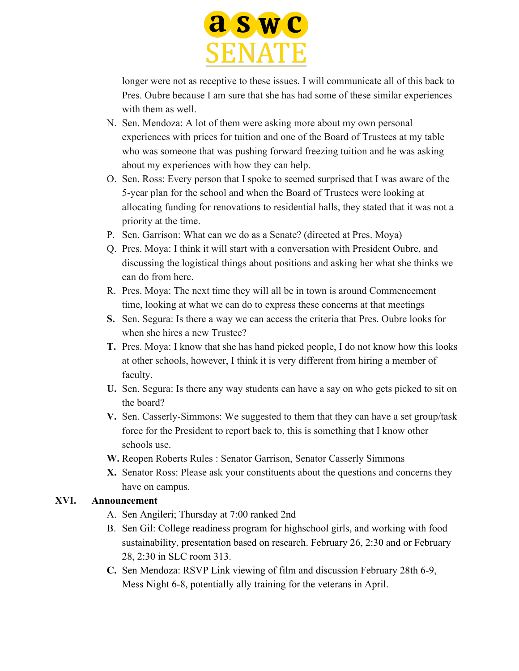

longer were not as receptive to these issues. I will communicate all of this back to Pres. Oubre because I am sure that she has had some of these similar experiences with them as well.

- N. Sen. Mendoza: A lot of them were asking more about my own personal experiences with prices for tuition and one of the Board of Trustees at my table who was someone that was pushing forward freezing tuition and he was asking about my experiences with how they can help.
- O. Sen. Ross: Every person that I spoke to seemed surprised that I was aware of the 5-year plan for the school and when the Board of Trustees were looking at allocating funding for renovations to residential halls, they stated that it was not a priority at the time.
- P. Sen. Garrison: What can we do as a Senate? (directed at Pres. Moya)
- Q. Pres. Moya: I think it will start with a conversation with President Oubre, and discussing the logistical things about positions and asking her what she thinks we can do from here.
- R. Pres. Moya: The next time they will all be in town is around Commencement time, looking at what we can do to express these concerns at that meetings
- **S.** Sen. Segura: Is there a way we can access the criteria that Pres. Oubre looks for when she hires a new Trustee?
- **T.** Pres. Moya: I know that she has hand picked people, I do not know how this looks at other schools, however, I think it is very different from hiring a member of faculty.
- **U.** Sen. Segura: Is there any way students can have a say on who gets picked to sit on the board?
- **V.** Sen. Casserly-Simmons: We suggested to them that they can have a set group/task force for the President to report back to, this is something that I know other schools use.
- **W.** Reopen Roberts Rules : Senator Garrison, Senator Casserly Simmons
- **X.** Senator Ross: Please ask your constituents about the questions and concerns they have on campus.

#### **XVI. Announcement**

- A. Sen Angileri; Thursday at 7:00 ranked 2nd
- B. Sen Gil: College readiness program for highschool girls, and working with food sustainability, presentation based on research. February 26, 2:30 and or February 28, 2:30 in SLC room 313.
- **C.** Sen Mendoza: RSVP Link viewing of film and discussion February 28th 6-9, Mess Night 6-8, potentially ally training for the veterans in April.